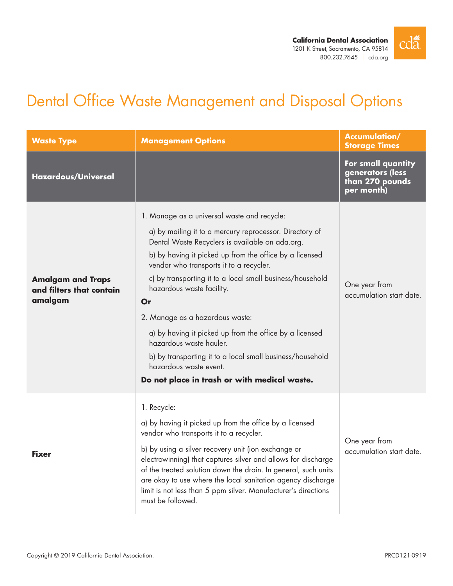

# Dental Office Waste Management and Disposal Options

| <b>Waste Type</b>                                               | <b>Management Options</b>                                                                                                                                                                                                                                                                                                                                                                                                                                                                                                                                                                                                       | <b>Accumulation/</b><br><b>Storage Times</b>                            |
|-----------------------------------------------------------------|---------------------------------------------------------------------------------------------------------------------------------------------------------------------------------------------------------------------------------------------------------------------------------------------------------------------------------------------------------------------------------------------------------------------------------------------------------------------------------------------------------------------------------------------------------------------------------------------------------------------------------|-------------------------------------------------------------------------|
| <b>Hazardous/Universal</b>                                      |                                                                                                                                                                                                                                                                                                                                                                                                                                                                                                                                                                                                                                 | For small quantity<br>generators (less<br>than 270 pounds<br>per month) |
| <b>Amalgam and Traps</b><br>and filters that contain<br>amalgam | 1. Manage as a universal waste and recycle:<br>a) by mailing it to a mercury reprocessor. Directory of<br>Dental Waste Recyclers is available on ada.org.<br>b) by having it picked up from the office by a licensed<br>vendor who transports it to a recycler.<br>c) by transporting it to a local small business/household<br>hazardous waste facility.<br>Or<br>2. Manage as a hazardous waste:<br>a) by having it picked up from the office by a licensed<br>hazardous waste hauler.<br>b) by transporting it to a local small business/household<br>hazardous waste event.<br>Do not place in trash or with medical waste. | One year from<br>accumulation start date.                               |
| <b>Fixer</b>                                                    | 1. Recycle:<br>a) by having it picked up from the office by a licensed<br>vendor who transports it to a recycler.<br>b) by using a silver recovery unit (ion exchange or<br>electrowinning) that captures silver and allows for discharge<br>of the treated solution down the drain. In general, such units<br>are okay to use where the local sanitation agency discharge<br>limit is not less than 5 ppm silver. Manufacturer's directions<br>must be followed.                                                                                                                                                               | One year from<br>accumulation start date.                               |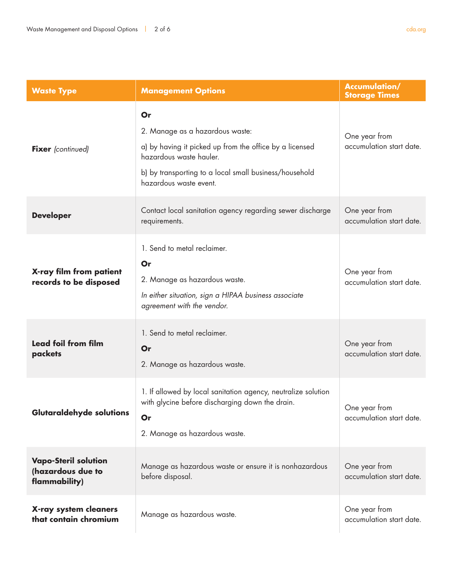| <b>Waste Type</b>                                                 | <b>Management Options</b>                                                                                                                                                                                       | <b>Accumulation/</b><br><b>Storage Times</b> |
|-------------------------------------------------------------------|-----------------------------------------------------------------------------------------------------------------------------------------------------------------------------------------------------------------|----------------------------------------------|
| <b>Fixer</b> (continued)                                          | Or<br>2. Manage as a hazardous waste:<br>a) by having it picked up from the office by a licensed<br>hazardous waste hauler.<br>b) by transporting to a local small business/household<br>hazardous waste event. | One year from<br>accumulation start date.    |
| <b>Developer</b>                                                  | Contact local sanitation agency regarding sewer discharge<br>requirements.                                                                                                                                      | One year from<br>accumulation start date.    |
| X-ray film from patient<br>records to be disposed                 | 1. Send to metal reclaimer.<br>Or<br>2. Manage as hazardous waste.<br>In either situation, sign a HIPAA business associate<br>agreement with the vendor.                                                        | One year from<br>accumulation start date.    |
| <b>Lead foil from film</b><br>packets                             | 1. Send to metal reclaimer.<br>Or<br>2. Manage as hazardous waste.                                                                                                                                              | One year from<br>accumulation start date.    |
| Glutaraldehyde solutions                                          | 1. If allowed by local sanitation agency, neutralize solution<br>with glycine before discharging down the drain.<br>Or<br>2. Manage as hazardous waste.                                                         | One year from<br>accumulation start date.    |
| <b>Vapo-Steril solution</b><br>(hazardous due to<br>flammability) | Manage as hazardous waste or ensure it is nonhazardous<br>before disposal.                                                                                                                                      | One year from<br>accumulation start date.    |
| X-ray system cleaners<br>that contain chromium                    | Manage as hazardous waste.                                                                                                                                                                                      | One year from<br>accumulation start date.    |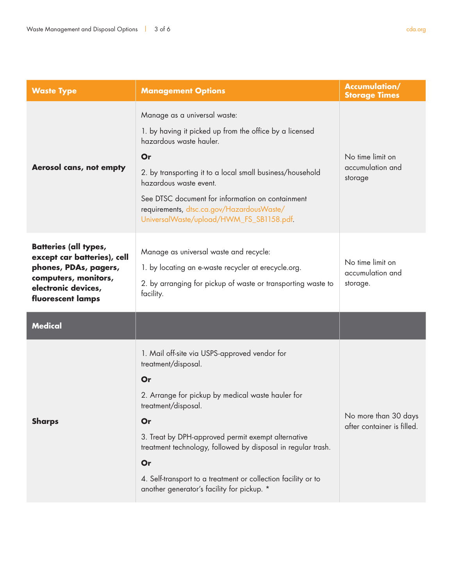| <b>Waste Type</b>                                                                                                                                        | <b>Management Options</b>                                                                                                                                                                                                                                                                                                                                                                               | <b>Accumulation/</b><br><b>Storage Times</b>       |
|----------------------------------------------------------------------------------------------------------------------------------------------------------|---------------------------------------------------------------------------------------------------------------------------------------------------------------------------------------------------------------------------------------------------------------------------------------------------------------------------------------------------------------------------------------------------------|----------------------------------------------------|
| Aerosol cans, not empty                                                                                                                                  | Manage as a universal waste:<br>1. by having it picked up from the office by a licensed<br>hazardous waste hauler.<br>Or<br>2. by transporting it to a local small business/household<br>hazardous waste event.<br>See DTSC document for information on containment<br>requirements, dtsc.ca.gov/HazardousWaste/<br>UniversalWaste/upload/HWM_FS_SB1158.pdf.                                            | No time limit on<br>accumulation and<br>storage    |
| <b>Batteries (all types,</b><br>except car batteries), cell<br>phones, PDAs, pagers,<br>computers, monitors,<br>electronic devices,<br>fluorescent lamps | Manage as universal waste and recycle:<br>1. by locating an e-waste recycler at erecycle.org.<br>2. by arranging for pickup of waste or transporting waste to<br>facility.                                                                                                                                                                                                                              | No time limit on<br>accumulation and<br>storage.   |
| <b>Medical</b>                                                                                                                                           |                                                                                                                                                                                                                                                                                                                                                                                                         |                                                    |
| <b>Sharps</b>                                                                                                                                            | 1. Mail off-site via USPS-approved vendor for<br>treatment/disposal.<br>Or<br>2. Arrange for pickup by medical waste hauler for<br>treatment/disposal.<br>Or<br>3. Treat by DPH-approved permit exempt alternative<br>treatment technology, followed by disposal in regular trash.<br>Or<br>4. Self-transport to a treatment or collection facility or to<br>another generator's facility for pickup. * | No more than 30 days<br>after container is filled. |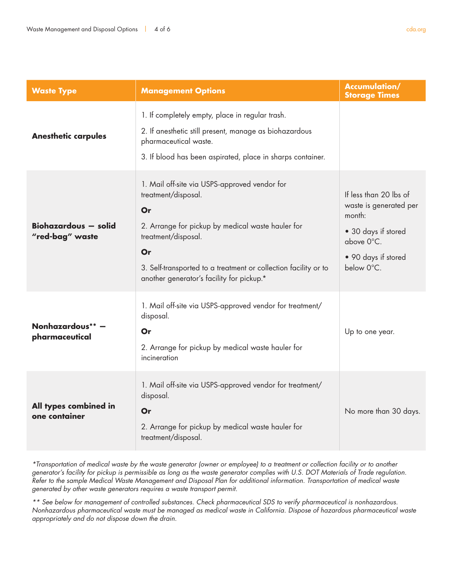| <b>Waste Type</b>                              | <b>Management Options</b>                                                                                                                                                                                                                                                    | <b>Accumulation/</b><br><b>Storage Times</b>                                                                                         |
|------------------------------------------------|------------------------------------------------------------------------------------------------------------------------------------------------------------------------------------------------------------------------------------------------------------------------------|--------------------------------------------------------------------------------------------------------------------------------------|
| <b>Anesthetic carpules</b>                     | 1. If completely empty, place in regular trash.<br>2. If anesthetic still present, manage as biohazardous<br>pharmaceutical waste.<br>3. If blood has been aspirated, place in sharps container.                                                                             |                                                                                                                                      |
| <b>Biohazardous - solid</b><br>"red-bag" waste | 1. Mail off-site via USPS-approved vendor for<br>treatment/disposal.<br>Or<br>2. Arrange for pickup by medical waste hauler for<br>treatment/disposal.<br>Or<br>3. Self-transported to a treatment or collection facility or to<br>another generator's facility for pickup.* | If less than 20 lbs of<br>waste is generated per<br>month:<br>• 30 days if stored<br>above 0°C.<br>• 90 days if stored<br>below 0°C. |
| Nonhazardous**<br>pharmaceutical               | 1. Mail off-site via USPS-approved vendor for treatment/<br>disposal.<br>Or<br>2. Arrange for pickup by medical waste hauler for<br>incineration                                                                                                                             | Up to one year.                                                                                                                      |
| All types combined in<br>one container         | 1. Mail off-site via USPS-approved vendor for treatment/<br>disposal.<br>Or<br>2. Arrange for pickup by medical waste hauler for<br>treatment/disposal.                                                                                                                      | No more than 30 days.                                                                                                                |

*\*Transportation of medical waste by the waste generator (owner or employee) to a treatment or collection facility or to another generator's facility for pickup is permissible as long as the waste generator complies with U.S. DOT Materials of Trade regulation. Refer to the sample Medical Waste Management and Disposal Plan for additional information. Transportation of medical waste generated by other waste generators requires a waste transport permit.*

*\*\* See below for management of controlled substances. Check pharmaceutical SDS to verify pharmaceutical is nonhazardous. Nonhazardous pharmaceutical waste must be managed as medical waste in California. Dispose of hazardous pharmaceutical waste appropriately and do not dispose down the drain.*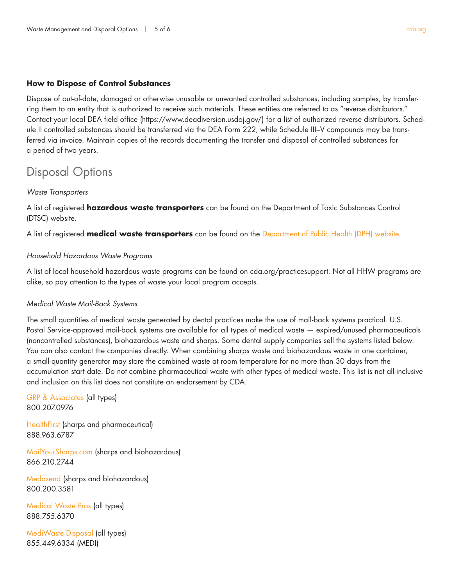### **How to Dispose of Control Substances**

Dispose of out-of-date, damaged or otherwise unusable or unwanted controlled substances, including samples, by transferring them to an entity that is authorized to receive such materials. These entities are referred to as "reverse distributors." Contact your local DEA field office (https://www.deadiversion.usdoj.gov/) for a list of authorized reverse distributors. Schedule II controlled substances should be transferred via the DEA Form 222, while Schedule III–V compounds may be transferred via invoice. Maintain copies of the records documenting the transfer and disposal of controlled substances for a period of two years.

# Disposal Options

#### *Waste Transporters*

A list of registered **hazardous waste transporters** can be found on the Department of Toxic Substances Control (DTSC) website.

A list of registered **medical waste transporters** can be found on the Department of Public Health (DPH) website.

# *Household Hazardous Waste Programs*

A list of local household hazardous waste programs can be found on cda.org/practicesupport. Not all HHW programs are alike, so pay attention to the types of waste your local program accepts.

# *Medical Waste Mail-Back Systems*

The small quantities of medical waste generated by dental practices make the use of mail-back systems practical. U.S. Postal Service-approved mail-back systems are available for all types of medical waste — expired/unused pharmaceuticals (noncontrolled substances), biohazardous waste and sharps. Some dental supply companies sell the systems listed below. You can also contact the companies directly. When combining sharps waste and biohazardous waste in one container, a small-quantity generator may store the combined waste at room temperature for no more than 30 days from the accumulation start date. Do not combine pharmaceutical waste with other types of medical waste. This list is not all-inclusive and inclusion on this list does not constitute an endorsement by CDA.

GRP & Associates (all types) 800.207.0976

HealthFirst (sharps and pharmaceutical) 888.963.6787

MailYourSharps.com (sharps and biohazardous) 866.210.2744

Medasend (sharps and biohazardous) 800.200.3581

Medical Waste Pros (all types) 888.755.6370

MediWaste Disposal (all types) 855.449.6334 (MEDI)